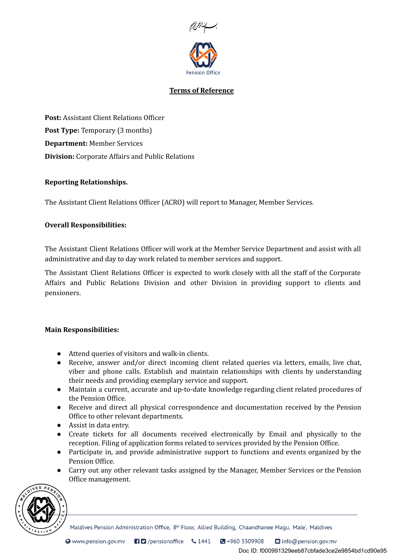

# Terms of Reference

Post: Assistant Client Relations Officer Post Type: Temporary (3 months) Department: Member Services Division: Corporate Affairs and Public Relations

## Reporting Relationships.

The Assistant Client Relations Officer (ACRO) will report to Manager, Member Services.

## Overall Responsibilities:

The Assistant Client Relations Officer will work at the Member Service Department and assist with all administrative and day to day work related to member services and support.

The Assistant Client Relations Officer is expected to work closely with all the staff of the Corporate Affairs and Public Relations Division and other Division in providing support to clients and pensioners.

## Main Responsibilities:

- Attend queries of visitors and walk-in clients.
- Receive, answer and/or direct incoming client related queries via letters, emails, live chat, viber and phone calls. Establish and maintain relationships with clients by understanding their needs and providing exemplary service and support.
- Maintain a current, accurate and up-to-date knowledge regarding client related procedures of the Pension Office.
- Receive and direct all physical correspondence and documentation received by the Pension Office to other relevant departments.
- Assist in data entry.
- Create tickets for all documents received electronically by Email and physically to the reception. Filing of application forms related to services provided by the Pension Office.
- Participate in, and provide administrative support to functions and events organized by the Pension Office.
- Carry out any other relevant tasks assigned by the Manager, Member Services or the Pension Office management.



Maldives Pension Administration Office, 8<sup>th</sup> Floor, Allied Building, Chaandhanee Magu, Male', Maldives

Doc ID: f000991329eeb87cbfade3ce2e9854bd1cd90e95